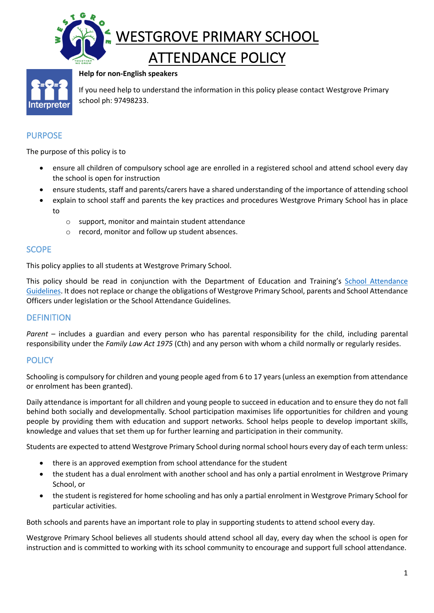



**Help for non-English speakers**

If you need help to understand the information in this policy please contact Westgrove Primary school ph: 97498233.

# PURPOSE

The purpose of this policy is to

- ensure all children of compulsory school age are enrolled in a registered school and attend school every day the school is open for instruction
- ensure students, staff and parents/carers have a shared understanding of the importance of attending school
- explain to school staff and parents the key practices and procedures Westgrove Primary School has in place to
	- o support, monitor and maintain student attendance
	- o record, monitor and follow up student absences.

### **SCOPE**

This policy applies to all students at Westgrove Primary School.

This policy should be read in conjunction with the Department of Education and Training's School Attendance Guidelines. It does not replace or change the obligations of Westgrove Primary School, parents and School Attendance Officers under legislation or the School Attendance Guidelines.

#### **DEFINITION**

*Parent* – includes a guardian and every person who has parental responsibility for the child, including parental responsibility under the *Family Law Act 1975* (Cth) and any person with whom a child normally or regularly resides.

#### **POLICY**

Schooling is compulsory for children and young people aged from 6 to 17 years (unless an exemption from attendance or enrolment has been granted).

Daily attendance is important for all children and young people to succeed in education and to ensure they do not fall behind both socially and developmentally. School participation maximises life opportunities for children and young people by providing them with education and support networks. School helps people to develop important skills, knowledge and values that set them up for further learning and participation in their community.

Students are expected to attend Westgrove Primary School during normal school hours every day of each term unless:

- there is an approved exemption from school attendance for the student
- the student has a dual enrolment with another school and has only a partial enrolment in Westgrove Primary School, or
- the student is registered for home schooling and has only a partial enrolment in Westgrove Primary School for particular activities.

Both schools and parents have an important role to play in supporting students to attend school every day.

Westgrove Primary School believes all students should attend school all day, every day when the school is open for instruction and is committed to working with its school community to encourage and support full school attendance.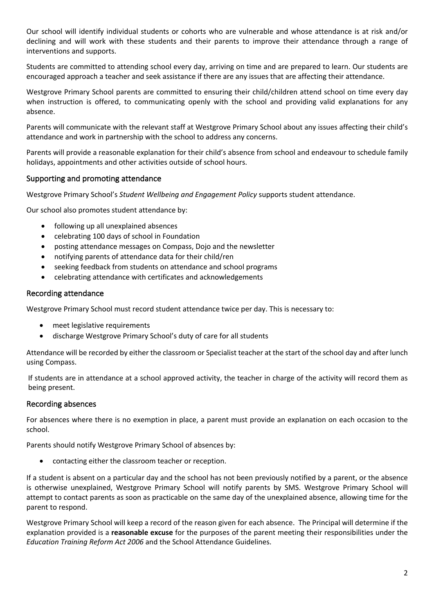Our school will identify individual students or cohorts who are vulnerable and whose attendance is at risk and/or declining and will work with these students and their parents to improve their attendance through a range of interventions and supports.

Students are committed to attending school every day, arriving on time and are prepared to learn. Our students are encouraged approach a teacher and seek assistance if there are any issues that are affecting their attendance.

Westgrove Primary School parents are committed to ensuring their child/children attend school on time every day when instruction is offered, to communicating openly with the school and providing valid explanations for any absence.

Parents will communicate with the relevant staff at Westgrove Primary School about any issues affecting their child's attendance and work in partnership with the school to address any concerns.

Parents will provide a reasonable explanation for their child's absence from school and endeavour to schedule family holidays, appointments and other activities outside of school hours.

### Supporting and promoting attendance

Westgrove Primary School's *Student Wellbeing and Engagement Policy* supports student attendance.

Our school also promotes student attendance by:

- following up all unexplained absences
- celebrating 100 days of school in Foundation
- posting attendance messages on Compass, Dojo and the newsletter
- notifying parents of attendance data for their child/ren
- seeking feedback from students on attendance and school programs
- celebrating attendance with certificates and acknowledgements

#### Recording attendance

Westgrove Primary School must record student attendance twice per day. This is necessary to:

- meet legislative requirements
- discharge Westgrove Primary School's duty of care for all students

Attendance will be recorded by either the classroom or Specialist teacher at the start of the school day and after lunch using Compass.

If students are in attendance at a school approved activity, the teacher in charge of the activity will record them as being present.

#### Recording absences

For absences where there is no exemption in place, a parent must provide an explanation on each occasion to the school.

Parents should notify Westgrove Primary School of absences by:

• contacting either the classroom teacher or reception.

If a student is absent on a particular day and the school has not been previously notified by a parent, or the absence is otherwise unexplained, Westgrove Primary School will notify parents by SMS. Westgrove Primary School will attempt to contact parents as soon as practicable on the same day of the unexplained absence, allowing time for the parent to respond.

Westgrove Primary School will keep a record of the reason given for each absence. The Principal will determine if the explanation provided is a **reasonable excuse** for the purposes of the parent meeting their responsibilities under the *Education Training Reform Act 2006* and the School Attendance Guidelines.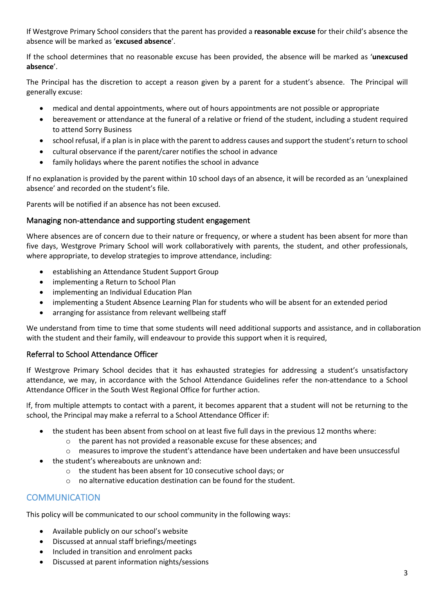If Westgrove Primary School considers that the parent has provided a **reasonable excuse** for their child's absence the absence will be marked as '**excused absence**'.

If the school determines that no reasonable excuse has been provided, the absence will be marked as '**unexcused absence**'.

The Principal has the discretion to accept a reason given by a parent for a student's absence. The Principal will generally excuse:

- medical and dental appointments, where out of hours appointments are not possible or appropriate
- bereavement or attendance at the funeral of a relative or friend of the student, including a student required to attend Sorry Business
- school refusal, if a plan is in place with the parent to address causes and support the student's return to school
- cultural observance if the parent/carer notifies the school in advance
- family holidays where the parent notifies the school in advance

If no explanation is provided by the parent within 10 school days of an absence, it will be recorded as an 'unexplained absence' and recorded on the student's file.

Parents will be notified if an absence has not been excused.

#### Managing non-attendance and supporting student engagement

Where absences are of concern due to their nature or frequency, or where a student has been absent for more than five days, Westgrove Primary School will work collaboratively with parents, the student, and other professionals, where appropriate, to develop strategies to improve attendance, including:

- establishing an Attendance Student Support Group
- implementing a Return to School Plan
- implementing an Individual Education Plan
- implementing a Student Absence Learning Plan for students who will be absent for an extended period
- arranging for assistance from relevant wellbeing staff

We understand from time to time that some students will need additional supports and assistance, and in collaboration with the student and their family, will endeavour to provide this support when it is required,

## Referral to School Attendance Officer

If Westgrove Primary School decides that it has exhausted strategies for addressing a student's unsatisfactory attendance, we may, in accordance with the School Attendance Guidelines refer the non-attendance to a School Attendance Officer in the South West Regional Office for further action.

If, from multiple attempts to contact with a parent, it becomes apparent that a student will not be returning to the school, the Principal may make a referral to a School Attendance Officer if:

- the student has been absent from school on at least five full days in the previous 12 months where:
	- o the parent has not provided a reasonable excuse for these absences; and
	- o measures to improve the student's attendance have been undertaken and have been unsuccessful
- the student's whereabouts are unknown and:
	- o the student has been absent for 10 consecutive school days; or
	- o no alternative education destination can be found for the student.

# **COMMUNICATION**

This policy will be communicated to our school community in the following ways:

- Available publicly on our school's website
- Discussed at annual staff briefings/meetings
- Included in transition and enrolment packs
- Discussed at parent information nights/sessions